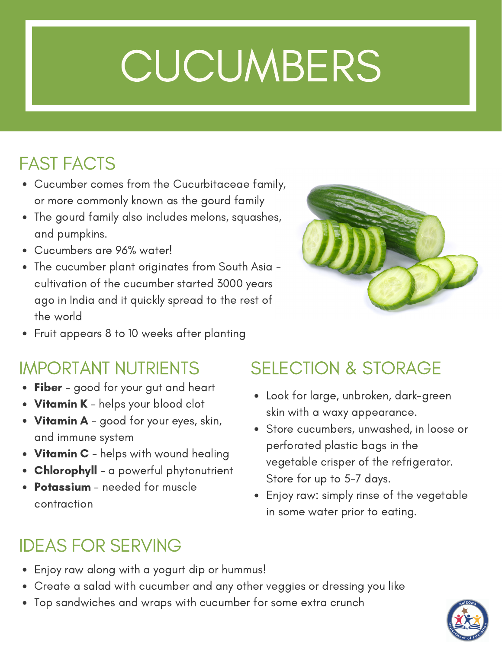# **CUCUMBERS**

### FAST FACTS

- Cucumber comes from the Cucurbitaceae family, or more commonly known as the gourd family
- The gourd family also includes melons, squashes, and pumpkins.
- Cucumbers are 96% water!
- The cucumber plant originates from South Asia cultivation of the cucumber started 3000 years ago in India and it quickly spread to the rest of the world



Fruit appears 8 to 10 weeks after planting

- Fiber good for your gut and heart
- Vitamin K helps your blood clot
- Vitamin A good for your eyes, skin, and immune system
- Vitamin C helps with wound healing
- Chlorophyll a powerful phytonutrient
- Potassium needed for muscle contraction

### IMPORTANT NUTRIENTS SELECTION & STORAGE

- Look for large, unbroken, dark-green skin with a waxy appearance.
- Store cucumbers, unwashed, in loose or perforated plastic bags in the vegetable crisper of the refrigerator. Store for up to 5-7 days.
- Enjoy raw: simply rinse of the vegetable in some water prior to eating.

### IDEAS FOR SERVING

- Enjoy raw along with a yogurt dip or hummus!
- Create a salad with cucumber and any other veggies or dressing you like
- Top sandwiches and wraps with cucumber for some extra crunch